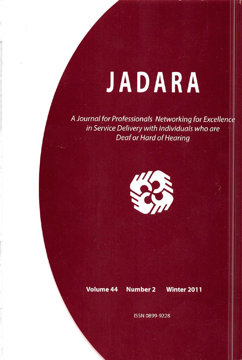# JADARA

A Journal for Professionals Networking for Excellence in Service Delivery with Individuals who are Deaf or Hard of Hearing



Volume 44 Number 2 Winter 2011

ISSN 0899-9228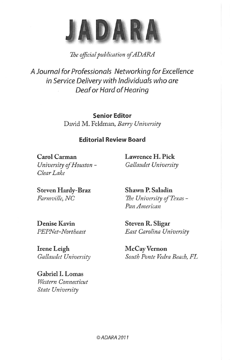

## The official publication of ADARA

A Journal for Professionals Networking for Excellence in Service Delivery with Individuals who are Deaf or Hard of Hearing

> Senior Editor David M. Feldman, Barry University

### Editorial Review Board

Carol Carman University of Houston - Clear Lake

Lawrence H. Pick Gallaudet University

Steven Hardy-Braz Farmville, NC

Shawn P. Saladin The University of Texas - Pan American

Denise Kavin PEPNet-Northeast

Irene Leigh Gallaudet University

Gabriel 1. Lomas Western Connecticut State University

Steven R. Sligar East Carolina University

McCay Vernon South Ponte Vedra Beach, FL